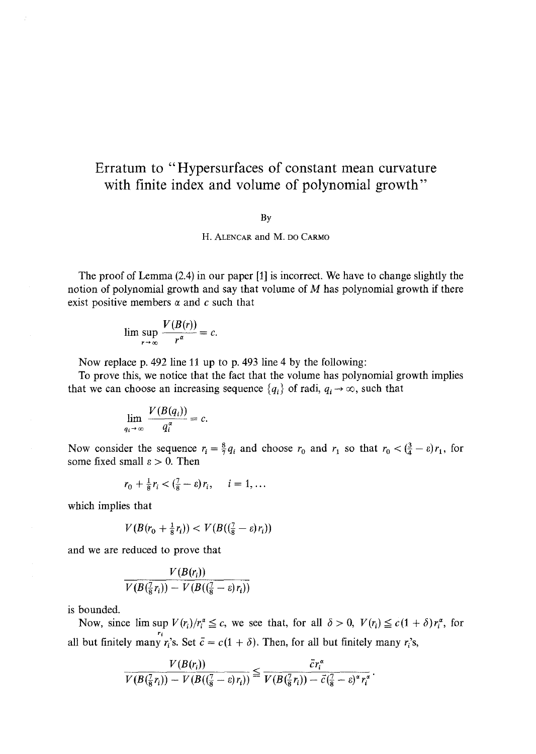## **Erratum to "Hypersurfaces of constant mean curvature with finite index and volume of polynomial growth"**

## By

H. ALENCAR and M. DO CARMO

The proof of Lemma (2.4) in our paper [1] is incorrect. We have to change slightly the notion of polynomial growth and say that volume of  $M$  has polynomial growth if there exist positive members  $\alpha$  and  $c$  such that

$$
\limsup_{r \to \infty} \frac{V(B(r))}{r^{\alpha}} = c.
$$

Now replace p. 492 line 11 up to p. 493 line 4 by the following:

To prove this, we notice that the fact that the volume has polynomial growth implies that we can choose an increasing sequence  $\{q_i\}$  of radi,  $q_i \rightarrow \infty$ , such that

$$
\lim_{q_i \to \infty} \frac{V(B(q_i))}{q_i^{\alpha}} = c.
$$

Now consider the sequence  $r_i = \frac{8}{7}q_i$  and choose  $r_0$  and  $r_1$  so that  $r_0 < (\frac{3}{4} - \varepsilon)r_1$ , for some fixed small  $\varepsilon > 0$ . Then

$$
r_0 + \frac{1}{8}r_i < \left(\frac{7}{8} - \varepsilon\right)r_i, \quad i = 1, \ldots
$$

which implies that

$$
V(B(r_0 + \frac{1}{8}r_i)) < V(B((\frac{7}{8} - \varepsilon)r_i))
$$

and we are reduced to prove that

$$
\frac{V(B(r_i))}{V(B(\frac{7}{8}r_i))-V(B((\frac{7}{8}-\varepsilon)r_i))}
$$

is bounded.

Now, since  $\limsup V(r_i)/r_i^a \leq c$ , we see that, for all  $\delta > 0$ ,  $V(r_i) \leq c(1 + \delta)r_i^a$ , for all but finitely many  $r_i$ 's. Set  $\bar{c} = c(1 + \delta)$ . Then, for all but finitely many  $r_i$ 's,

$$
\frac{V(B(r_i))}{V(B(\frac{7}{8}r_i))-V(B((\frac{7}{8}-\varepsilon)r_i))}\leq \frac{\bar{c}r_i^{\alpha}}{V(B(\frac{7}{8}r_i))- \bar{c}(\frac{7}{8}-\varepsilon)^{\alpha}r_i^{\alpha}}
$$